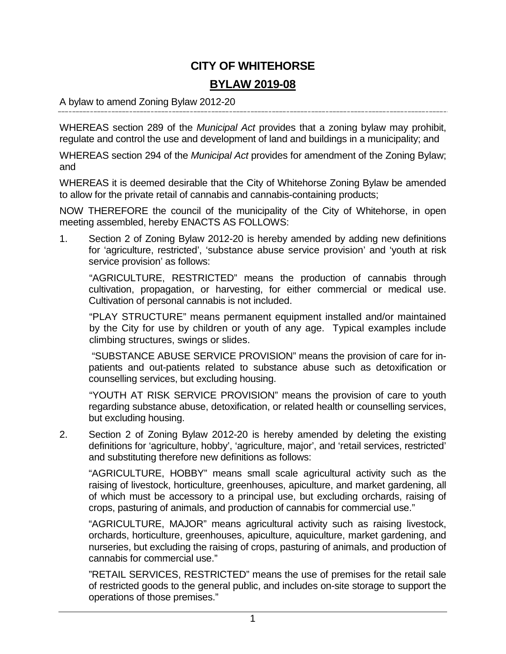# **CITY OF WHITEHORSE**

# **BYLAW 2019-08**

A bylaw to amend Zoning Bylaw 2012-20

WHEREAS section 289 of the *Municipal Act* provides that a zoning bylaw may prohibit, regulate and control the use and development of land and buildings in a municipality; and

WHEREAS section 294 of the *Municipal Act* provides for amendment of the Zoning Bylaw; and

WHEREAS it is deemed desirable that the City of Whitehorse Zoning Bylaw be amended to allow for the private retail of cannabis and cannabis-containing products;

NOW THEREFORE the council of the municipality of the City of Whitehorse, in open meeting assembled, hereby ENACTS AS FOLLOWS:

1. Section 2 of Zoning Bylaw 2012-20 is hereby amended by adding new definitions for 'agriculture, restricted', 'substance abuse service provision' and 'youth at risk service provision' as follows:

"AGRICULTURE, RESTRICTED" means the production of cannabis through cultivation, propagation, or harvesting, for either commercial or medical use. Cultivation of personal cannabis is not included.

"PLAY STRUCTURE" means permanent equipment installed and/or maintained by the City for use by children or youth of any age. Typical examples include climbing structures, swings or slides.

"SUBSTANCE ABUSE SERVICE PROVISION" means the provision of care for inpatients and out-patients related to substance abuse such as detoxification or counselling services, but excluding housing.

"YOUTH AT RISK SERVICE PROVISION" means the provision of care to youth regarding substance abuse, detoxification, or related health or counselling services, but excluding housing.

2. Section 2 of Zoning Bylaw 2012-20 is hereby amended by deleting the existing definitions for 'agriculture, hobby', 'agriculture, major', and 'retail services, restricted' and substituting therefore new definitions as follows:

"AGRICULTURE, HOBBY" means small scale agricultural activity such as the raising of livestock, horticulture, greenhouses, apiculture, and market gardening, all of which must be accessory to a principal use, but excluding orchards, raising of crops, pasturing of animals, and production of cannabis for commercial use."

"AGRICULTURE, MAJOR" means agricultural activity such as raising livestock, orchards, horticulture, greenhouses, apiculture, aquiculture, market gardening, and nurseries, but excluding the raising of crops, pasturing of animals, and production of cannabis for commercial use."

"RETAIL SERVICES, RESTRICTED" means the use of premises for the retail sale of restricted goods to the general public, and includes on-site storage to support the operations of those premises."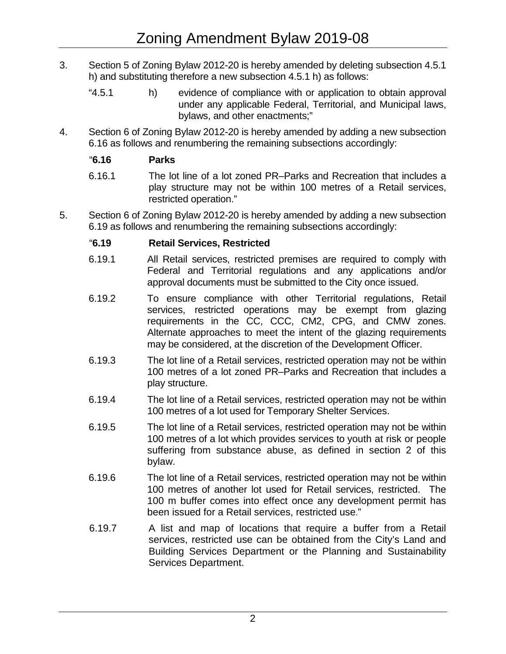- 3. Section 5 of Zoning Bylaw 2012-20 is hereby amended by deleting subsection 4.5.1 h) and substituting therefore a new subsection 4.5.1 h) as follows:
	- "4.5.1 h) evidence of compliance with or application to obtain approval under any applicable Federal, Territorial, and Municipal laws, bylaws, and other enactments;"
- 4. Section 6 of Zoning Bylaw 2012-20 is hereby amended by adding a new subsection 6.16 as follows and renumbering the remaining subsections accordingly:

# "**6.16 Parks**

- 6.16.1 The lot line of a lot zoned PR–Parks and Recreation that includes a play structure may not be within 100 metres of a Retail services, restricted operation."
- 5. Section 6 of Zoning Bylaw 2012-20 is hereby amended by adding a new subsection 6.19 as follows and renumbering the remaining subsections accordingly:

# "**6.19 Retail Services, Restricted**

- 6.19.1 All Retail services, restricted premises are required to comply with Federal and Territorial regulations and any applications and/or approval documents must be submitted to the City once issued.
- 6.19.2 To ensure compliance with other Territorial regulations, Retail services, restricted operations may be exempt from glazing requirements in the CC, CCC, CM2, CPG, and CMW zones. Alternate approaches to meet the intent of the glazing requirements may be considered, at the discretion of the Development Officer.
- 6.19.3 The lot line of a Retail services, restricted operation may not be within 100 metres of a lot zoned PR–Parks and Recreation that includes a play structure.
- 6.19.4 The lot line of a Retail services, restricted operation may not be within 100 metres of a lot used for Temporary Shelter Services.
- 6.19.5 The lot line of a Retail services, restricted operation may not be within 100 metres of a lot which provides services to youth at risk or people suffering from substance abuse, as defined in section 2 of this bylaw.
- 6.19.6 The lot line of a Retail services, restricted operation may not be within 100 metres of another lot used for Retail services, restricted. The 100 m buffer comes into effect once any development permit has been issued for a Retail services, restricted use."
- 6.19.7 A list and map of locations that require a buffer from a Retail services, restricted use can be obtained from the City's Land and Building Services Department or the Planning and Sustainability Services Department.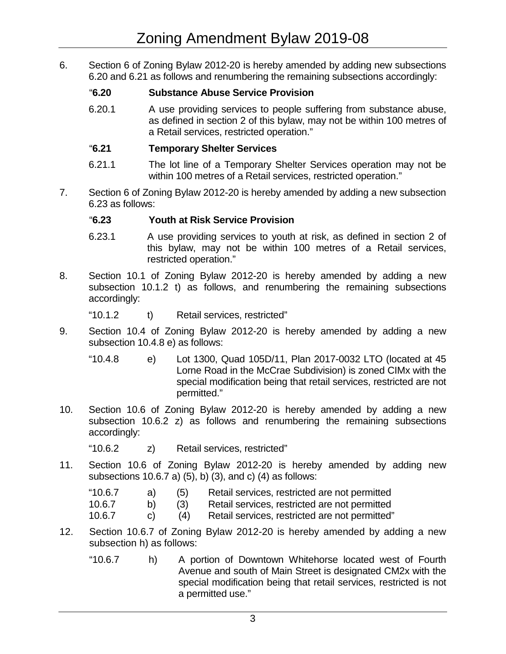6. Section 6 of Zoning Bylaw 2012-20 is hereby amended by adding new subsections 6.20 and 6.21 as follows and renumbering the remaining subsections accordingly:

# "**6.20 Substance Abuse Service Provision**

6.20.1 A use providing services to people suffering from substance abuse, as defined in section 2 of this bylaw, may not be within 100 metres of a Retail services, restricted operation."

# "**6.21 Temporary Shelter Services**

- 6.21.1 The lot line of a Temporary Shelter Services operation may not be within 100 metres of a Retail services, restricted operation."
- 7. Section 6 of Zoning Bylaw 2012-20 is hereby amended by adding a new subsection 6.23 as follows:

#### "**6.23 Youth at Risk Service Provision**

- 6.23.1 A use providing services to youth at risk, as defined in section 2 of this bylaw, may not be within 100 metres of a Retail services, restricted operation."
- 8. Section 10.1 of Zoning Bylaw 2012-20 is hereby amended by adding a new subsection 10.1.2 t) as follows, and renumbering the remaining subsections accordingly:

"10.1.2 t) Retail services, restricted"

- 9. Section 10.4 of Zoning Bylaw 2012-20 is hereby amended by adding a new subsection 10.4.8 e) as follows:
	- "10.4.8 e) Lot 1300, Quad 105D/11, Plan 2017-0032 LTO (located at 45 Lorne Road in the McCrae Subdivision) is zoned CIMx with the special modification being that retail services, restricted are not permitted."
- 10. Section 10.6 of Zoning Bylaw 2012-20 is hereby amended by adding a new subsection 10.6.2 z) as follows and renumbering the remaining subsections accordingly:

"10.6.2 z) Retail services, restricted"

- 11. Section 10.6 of Zoning Bylaw 2012-20 is hereby amended by adding new subsections 10.6.7 a) (5), b) (3), and c) (4) as follows:
	- "10.6.7 a) (5) Retail services, restricted are not permitted
	- 10.6.7 b) (3) Retail services, restricted are not permitted
	- 10.6.7 c) (4) Retail services, restricted are not permitted"
- 12. Section 10.6.7 of Zoning Bylaw 2012-20 is hereby amended by adding a new subsection h) as follows:
	- "10.6.7 h) A portion of Downtown Whitehorse located west of Fourth Avenue and south of Main Street is designated CM2x with the special modification being that retail services, restricted is not a permitted use."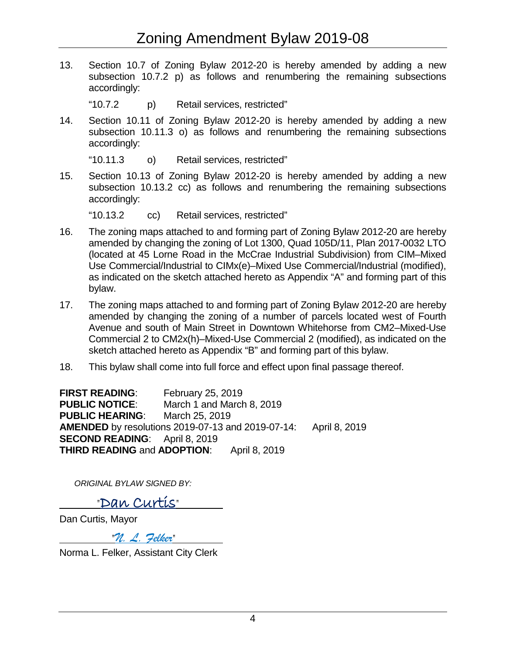13. Section 10.7 of Zoning Bylaw 2012-20 is hereby amended by adding a new subsection 10.7.2 p) as follows and renumbering the remaining subsections accordingly:

"10.7.2 p) Retail services, restricted"

14. Section 10.11 of Zoning Bylaw 2012-20 is hereby amended by adding a new subsection 10.11.3 o) as follows and renumbering the remaining subsections accordingly:

"10.11.3 o) Retail services, restricted"

15. Section 10.13 of Zoning Bylaw 2012-20 is hereby amended by adding a new subsection 10.13.2 cc) as follows and renumbering the remaining subsections accordingly:

"10.13.2 cc) Retail services, restricted"

- 16. The zoning maps attached to and forming part of Zoning Bylaw 2012-20 are hereby amended by changing the zoning of Lot 1300, Quad 105D/11, Plan 2017-0032 LTO (located at 45 Lorne Road in the McCrae Industrial Subdivision) from CIM–Mixed Use Commercial/Industrial to CIMx(e)–Mixed Use Commercial/Industrial (modified), as indicated on the sketch attached hereto as Appendix "A" and forming part of this bylaw.
- 17. The zoning maps attached to and forming part of Zoning Bylaw 2012-20 are hereby amended by changing the zoning of a number of parcels located west of Fourth Avenue and south of Main Street in Downtown Whitehorse from CM2–Mixed-Use Commercial 2 to CM2x(h)–Mixed-Use Commercial 2 (modified), as indicated on the sketch attached hereto as Appendix "B" and forming part of this bylaw.
- 18. This bylaw shall come into full force and effect upon final passage thereof.

**FIRST READING**: February 25, 2019 **PUBLIC NOTICE**: March 1 and March 8, 2019 **PUBLIC HEARING**: March 25, 2019 **AMENDED** by resolutions 2019-07-13 and 2019-07-14: April 8, 2019 **SECOND READING**: April 8, 2019 **THIRD READING** and **ADOPTION**: April 8, 2019

*ORIGINAL BYLAW SIGNED BY:*

"Dan Curtis"

Dan Curtis, Mayor

"*N. L. Felker*"

Norma L. Felker, Assistant City Clerk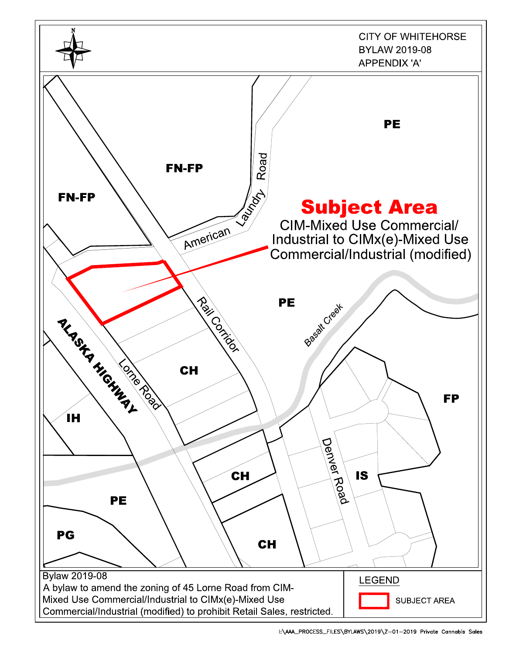